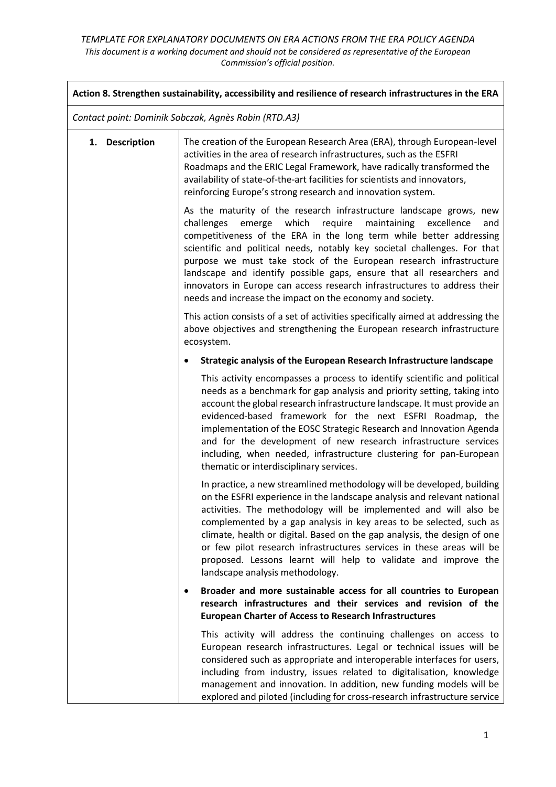|                                                      | Action 8. Strengthen sustainability, accessibility and resilience of research infrastructures in the ERA                                                                                                                                                                                                                                                                                                                                                                                                                                                                                      |
|------------------------------------------------------|-----------------------------------------------------------------------------------------------------------------------------------------------------------------------------------------------------------------------------------------------------------------------------------------------------------------------------------------------------------------------------------------------------------------------------------------------------------------------------------------------------------------------------------------------------------------------------------------------|
| Contact point: Dominik Sobczak, Agnès Robin (RTD.A3) |                                                                                                                                                                                                                                                                                                                                                                                                                                                                                                                                                                                               |
| 1. Description                                       | The creation of the European Research Area (ERA), through European-level<br>activities in the area of research infrastructures, such as the ESFRI<br>Roadmaps and the ERIC Legal Framework, have radically transformed the<br>availability of state-of-the-art facilities for scientists and innovators,<br>reinforcing Europe's strong research and innovation system.                                                                                                                                                                                                                       |
|                                                      | As the maturity of the research infrastructure landscape grows, new<br>emerge which<br>require<br>maintaining<br>challenges<br>excellence<br>and<br>competitiveness of the ERA in the long term while better addressing<br>scientific and political needs, notably key societal challenges. For that<br>purpose we must take stock of the European research infrastructure<br>landscape and identify possible gaps, ensure that all researchers and<br>innovators in Europe can access research infrastructures to address their<br>needs and increase the impact on the economy and society. |
|                                                      | This action consists of a set of activities specifically aimed at addressing the<br>above objectives and strengthening the European research infrastructure<br>ecosystem.                                                                                                                                                                                                                                                                                                                                                                                                                     |
|                                                      | Strategic analysis of the European Research Infrastructure landscape<br>$\bullet$                                                                                                                                                                                                                                                                                                                                                                                                                                                                                                             |
|                                                      | This activity encompasses a process to identify scientific and political<br>needs as a benchmark for gap analysis and priority setting, taking into<br>account the global research infrastructure landscape. It must provide an<br>evidenced-based framework for the next ESFRI Roadmap, the<br>implementation of the EOSC Strategic Research and Innovation Agenda<br>and for the development of new research infrastructure services<br>including, when needed, infrastructure clustering for pan-European<br>thematic or interdisciplinary services.                                       |
|                                                      | In practice, a new streamlined methodology will be developed, building<br>on the ESFRI experience in the landscape analysis and relevant national<br>activities. The methodology will be implemented and will also be<br>complemented by a gap analysis in key areas to be selected, such as<br>climate, health or digital. Based on the gap analysis, the design of one<br>or few pilot research infrastructures services in these areas will be<br>proposed. Lessons learnt will help to validate and improve the<br>landscape analysis methodology.                                        |
|                                                      | Broader and more sustainable access for all countries to European<br>research infrastructures and their services and revision of the<br><b>European Charter of Access to Research Infrastructures</b>                                                                                                                                                                                                                                                                                                                                                                                         |
|                                                      | This activity will address the continuing challenges on access to<br>European research infrastructures. Legal or technical issues will be<br>considered such as appropriate and interoperable interfaces for users,<br>including from industry, issues related to digitalisation, knowledge<br>management and innovation. In addition, new funding models will be<br>explored and piloted (including for cross-research infrastructure service                                                                                                                                                |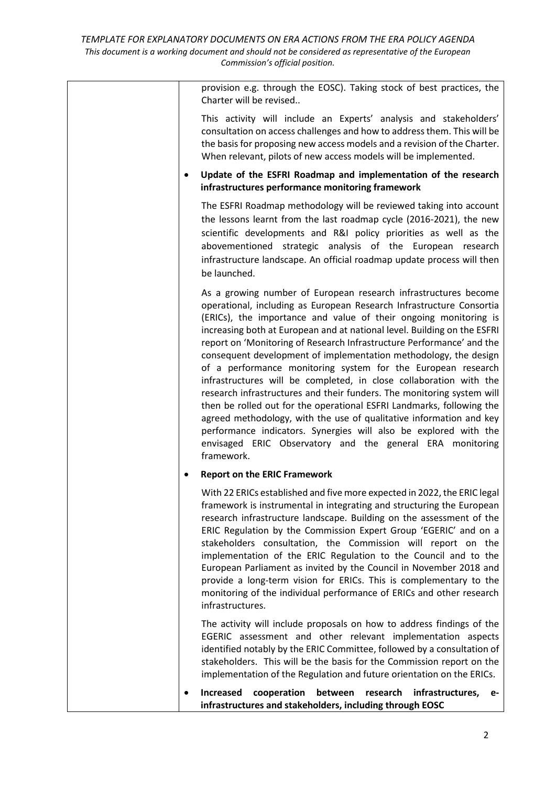| provision e.g. through the EOSC). Taking stock of best practices, the<br>Charter will be revised                                                                                                                                                                                                                                                                                                                                                                                                                                                                                                                                                                                                                                                                                                                                                                                                                                                    |
|-----------------------------------------------------------------------------------------------------------------------------------------------------------------------------------------------------------------------------------------------------------------------------------------------------------------------------------------------------------------------------------------------------------------------------------------------------------------------------------------------------------------------------------------------------------------------------------------------------------------------------------------------------------------------------------------------------------------------------------------------------------------------------------------------------------------------------------------------------------------------------------------------------------------------------------------------------|
| This activity will include an Experts' analysis and stakeholders'<br>consultation on access challenges and how to address them. This will be<br>the basis for proposing new access models and a revision of the Charter.<br>When relevant, pilots of new access models will be implemented.                                                                                                                                                                                                                                                                                                                                                                                                                                                                                                                                                                                                                                                         |
| Update of the ESFRI Roadmap and implementation of the research<br>infrastructures performance monitoring framework                                                                                                                                                                                                                                                                                                                                                                                                                                                                                                                                                                                                                                                                                                                                                                                                                                  |
| The ESFRI Roadmap methodology will be reviewed taking into account<br>the lessons learnt from the last roadmap cycle (2016-2021), the new<br>scientific developments and R&I policy priorities as well as the<br>abovementioned strategic analysis of the European research<br>infrastructure landscape. An official roadmap update process will then<br>be launched.                                                                                                                                                                                                                                                                                                                                                                                                                                                                                                                                                                               |
| As a growing number of European research infrastructures become<br>operational, including as European Research Infrastructure Consortia<br>(ERICs), the importance and value of their ongoing monitoring is<br>increasing both at European and at national level. Building on the ESFRI<br>report on 'Monitoring of Research Infrastructure Performance' and the<br>consequent development of implementation methodology, the design<br>of a performance monitoring system for the European research<br>infrastructures will be completed, in close collaboration with the<br>research infrastructures and their funders. The monitoring system will<br>then be rolled out for the operational ESFRI Landmarks, following the<br>agreed methodology, with the use of qualitative information and key<br>performance indicators. Synergies will also be explored with the<br>envisaged ERIC Observatory and the general ERA monitoring<br>framework. |
| <b>Report on the ERIC Framework</b>                                                                                                                                                                                                                                                                                                                                                                                                                                                                                                                                                                                                                                                                                                                                                                                                                                                                                                                 |
| With 22 ERICs established and five more expected in 2022, the ERIC legal<br>framework is instrumental in integrating and structuring the European<br>research infrastructure landscape. Building on the assessment of the<br>ERIC Regulation by the Commission Expert Group 'EGERIC' and on a<br>stakeholders consultation, the Commission will report on the<br>implementation of the ERIC Regulation to the Council and to the<br>European Parliament as invited by the Council in November 2018 and<br>provide a long-term vision for ERICs. This is complementary to the<br>monitoring of the individual performance of ERICs and other research                                                                                                                                                                                                                                                                                                |

The activity will include proposals on how to address findings of the EGERIC assessment and other relevant implementation aspects identified notably by the ERIC Committee, followed by a consultation of stakeholders. This will be the basis for the Commission report on the implementation of the Regulation and future orientation on the ERICs.

infrastructures.

 **Increased cooperation between research infrastructures, einfrastructures and stakeholders, including through EOSC**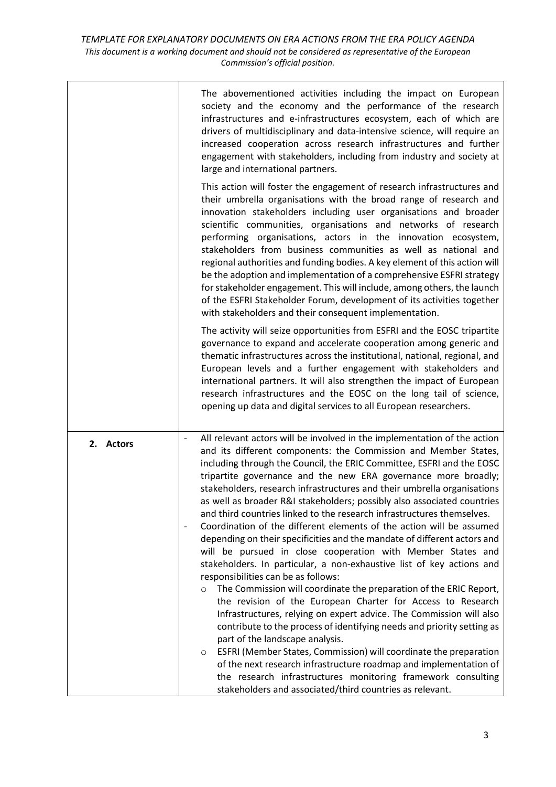|           | The abovementioned activities including the impact on European<br>society and the economy and the performance of the research<br>infrastructures and e-infrastructures ecosystem, each of which are<br>drivers of multidisciplinary and data-intensive science, will require an<br>increased cooperation across research infrastructures and further<br>engagement with stakeholders, including from industry and society at<br>large and international partners.                                                                                                                                                                                                                                                                                                                                                                                                                                                                                                                                                                                                                                                                                                                                                                                                                                                                                                                                                                                                              |
|-----------|--------------------------------------------------------------------------------------------------------------------------------------------------------------------------------------------------------------------------------------------------------------------------------------------------------------------------------------------------------------------------------------------------------------------------------------------------------------------------------------------------------------------------------------------------------------------------------------------------------------------------------------------------------------------------------------------------------------------------------------------------------------------------------------------------------------------------------------------------------------------------------------------------------------------------------------------------------------------------------------------------------------------------------------------------------------------------------------------------------------------------------------------------------------------------------------------------------------------------------------------------------------------------------------------------------------------------------------------------------------------------------------------------------------------------------------------------------------------------------|
|           | This action will foster the engagement of research infrastructures and<br>their umbrella organisations with the broad range of research and<br>innovation stakeholders including user organisations and broader<br>scientific communities, organisations and networks of research<br>performing organisations, actors in the innovation ecosystem,<br>stakeholders from business communities as well as national and<br>regional authorities and funding bodies. A key element of this action will<br>be the adoption and implementation of a comprehensive ESFRI strategy<br>for stakeholder engagement. This will include, among others, the launch<br>of the ESFRI Stakeholder Forum, development of its activities together<br>with stakeholders and their consequent implementation.                                                                                                                                                                                                                                                                                                                                                                                                                                                                                                                                                                                                                                                                                      |
|           | The activity will seize opportunities from ESFRI and the EOSC tripartite<br>governance to expand and accelerate cooperation among generic and<br>thematic infrastructures across the institutional, national, regional, and<br>European levels and a further engagement with stakeholders and<br>international partners. It will also strengthen the impact of European<br>research infrastructures and the EOSC on the long tail of science,<br>opening up data and digital services to all European researchers.                                                                                                                                                                                                                                                                                                                                                                                                                                                                                                                                                                                                                                                                                                                                                                                                                                                                                                                                                             |
| 2. Actors | All relevant actors will be involved in the implementation of the action<br>and its different components: the Commission and Member States,<br>including through the Council, the ERIC Committee, ESFRI and the EOSC<br>tripartite governance and the new ERA governance more broadly;<br>stakeholders, research infrastructures and their umbrella organisations<br>as well as broader R&I stakeholders; possibly also associated countries<br>and third countries linked to the research infrastructures themselves.<br>Coordination of the different elements of the action will be assumed<br>depending on their specificities and the mandate of different actors and<br>will be pursued in close cooperation with Member States and<br>stakeholders. In particular, a non-exhaustive list of key actions and<br>responsibilities can be as follows:<br>The Commission will coordinate the preparation of the ERIC Report,<br>$\circ$<br>the revision of the European Charter for Access to Research<br>Infrastructures, relying on expert advice. The Commission will also<br>contribute to the process of identifying needs and priority setting as<br>part of the landscape analysis.<br>ESFRI (Member States, Commission) will coordinate the preparation<br>$\circ$<br>of the next research infrastructure roadmap and implementation of<br>the research infrastructures monitoring framework consulting<br>stakeholders and associated/third countries as relevant. |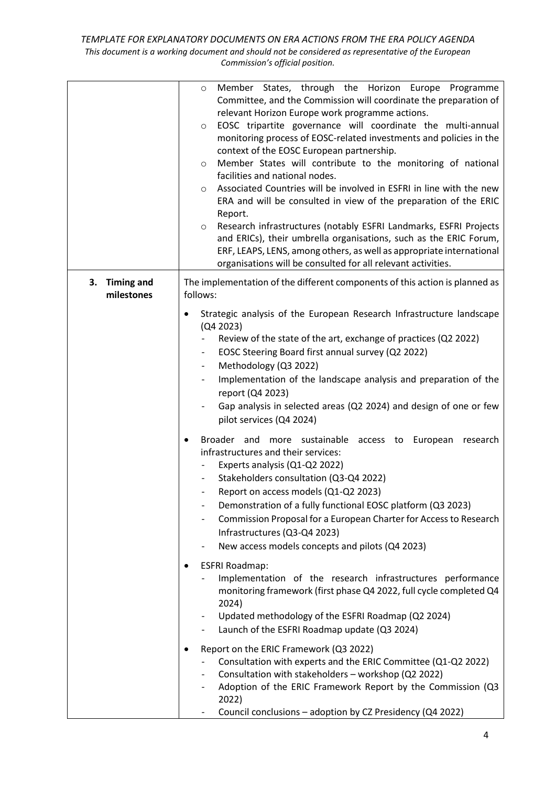## *TEMPLATE FOR EXPLANATORY DOCUMENTS ON ERA ACTIONS FROM THE ERA POLICY AGENDA This document is a working document and should not be considered as representative of the European Commission's official position.*

|                                       | Member States, through the Horizon Europe Programme<br>$\circ$<br>Committee, and the Commission will coordinate the preparation of<br>relevant Horizon Europe work programme actions.<br>EOSC tripartite governance will coordinate the multi-annual<br>$\circ$<br>monitoring process of EOSC-related investments and policies in the<br>context of the EOSC European partnership.<br>Member States will contribute to the monitoring of national<br>$\circ$<br>facilities and national nodes.<br>Associated Countries will be involved in ESFRI in line with the new<br>$\circ$<br>ERA and will be consulted in view of the preparation of the ERIC<br>Report.<br>Research infrastructures (notably ESFRI Landmarks, ESFRI Projects<br>$\circ$<br>and ERICs), their umbrella organisations, such as the ERIC Forum,<br>ERF, LEAPS, LENS, among others, as well as appropriate international<br>organisations will be consulted for all relevant activities. |
|---------------------------------------|--------------------------------------------------------------------------------------------------------------------------------------------------------------------------------------------------------------------------------------------------------------------------------------------------------------------------------------------------------------------------------------------------------------------------------------------------------------------------------------------------------------------------------------------------------------------------------------------------------------------------------------------------------------------------------------------------------------------------------------------------------------------------------------------------------------------------------------------------------------------------------------------------------------------------------------------------------------|
| <b>Timing and</b><br>3.<br>milestones | The implementation of the different components of this action is planned as<br>follows:                                                                                                                                                                                                                                                                                                                                                                                                                                                                                                                                                                                                                                                                                                                                                                                                                                                                      |
|                                       | Strategic analysis of the European Research Infrastructure landscape<br>٠<br>(Q4 2023)<br>Review of the state of the art, exchange of practices (Q2 2022)<br>EOSC Steering Board first annual survey (Q2 2022)<br>Methodology (Q3 2022)<br>$\overline{\phantom{a}}$<br>Implementation of the landscape analysis and preparation of the<br>$\overline{\phantom{a}}$<br>report (Q4 2023)<br>Gap analysis in selected areas (Q2 2024) and design of one or few<br>pilot services (Q4 2024)                                                                                                                                                                                                                                                                                                                                                                                                                                                                      |
|                                       | Broader and more sustainable access to European research<br>infrastructures and their services:<br>Experts analysis (Q1-Q2 2022)<br>Stakeholders consultation (Q3-Q4 2022)<br>Report on access models (Q1-Q2 2023)<br>$-$<br>Demonstration of a fully functional EOSC platform (Q3 2023)<br>Commission Proposal for a European Charter for Access to Research<br>Infrastructures (Q3-Q4 2023)<br>New access models concepts and pilots (Q4 2023)<br><b>ESFRI Roadmap:</b><br>Implementation of the research infrastructures performance                                                                                                                                                                                                                                                                                                                                                                                                                      |
|                                       | monitoring framework (first phase Q4 2022, full cycle completed Q4<br>2024)<br>Updated methodology of the ESFRI Roadmap (Q2 2024)<br>Launch of the ESFRI Roadmap update (Q3 2024)<br>Report on the ERIC Framework (Q3 2022)<br>Consultation with experts and the ERIC Committee (Q1-Q2 2022)<br>Consultation with stakeholders - workshop (Q2 2022)<br>Adoption of the ERIC Framework Report by the Commission (Q3<br>2022)<br>Council conclusions - adoption by CZ Presidency (Q4 2022)                                                                                                                                                                                                                                                                                                                                                                                                                                                                     |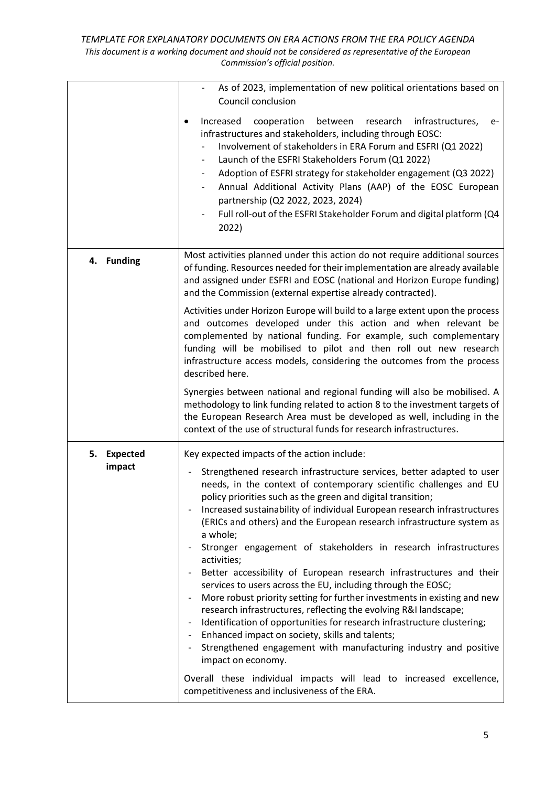*TEMPLATE FOR EXPLANATORY DOCUMENTS ON ERA ACTIONS FROM THE ERA POLICY AGENDA This document is a working document and should not be considered as representative of the European Commission's official position.*

|                                 | As of 2023, implementation of new political orientations based on<br>Council conclusion                                                                                                                                                                                                                                                                                                                                                                                                                                                                                                                                                                                                                                                                                                                                                                                                                                                                                                                                     |
|---------------------------------|-----------------------------------------------------------------------------------------------------------------------------------------------------------------------------------------------------------------------------------------------------------------------------------------------------------------------------------------------------------------------------------------------------------------------------------------------------------------------------------------------------------------------------------------------------------------------------------------------------------------------------------------------------------------------------------------------------------------------------------------------------------------------------------------------------------------------------------------------------------------------------------------------------------------------------------------------------------------------------------------------------------------------------|
|                                 | infrastructures,<br>Increased<br>cooperation<br>between research<br>e-<br>$\bullet$<br>infrastructures and stakeholders, including through EOSC:<br>Involvement of stakeholders in ERA Forum and ESFRI (Q1 2022)<br>Launch of the ESFRI Stakeholders Forum (Q1 2022)<br>Adoption of ESFRI strategy for stakeholder engagement (Q3 2022)<br>Annual Additional Activity Plans (AAP) of the EOSC European<br>partnership (Q2 2022, 2023, 2024)<br>Full roll-out of the ESFRI Stakeholder Forum and digital platform (Q4<br>2022)                                                                                                                                                                                                                                                                                                                                                                                                                                                                                               |
| 4. Funding                      | Most activities planned under this action do not require additional sources<br>of funding. Resources needed for their implementation are already available<br>and assigned under ESFRI and EOSC (national and Horizon Europe funding)<br>and the Commission (external expertise already contracted).                                                                                                                                                                                                                                                                                                                                                                                                                                                                                                                                                                                                                                                                                                                        |
|                                 | Activities under Horizon Europe will build to a large extent upon the process<br>and outcomes developed under this action and when relevant be<br>complemented by national funding. For example, such complementary<br>funding will be mobilised to pilot and then roll out new research<br>infrastructure access models, considering the outcomes from the process<br>described here.                                                                                                                                                                                                                                                                                                                                                                                                                                                                                                                                                                                                                                      |
|                                 | Synergies between national and regional funding will also be mobilised. A<br>methodology to link funding related to action 8 to the investment targets of<br>the European Research Area must be developed as well, including in the<br>context of the use of structural funds for research infrastructures.                                                                                                                                                                                                                                                                                                                                                                                                                                                                                                                                                                                                                                                                                                                 |
| <b>Expected</b><br>5.<br>impact | Key expected impacts of the action include:<br>Strengthened research infrastructure services, better adapted to user<br>needs, in the context of contemporary scientific challenges and EU<br>policy priorities such as the green and digital transition;<br>Increased sustainability of individual European research infrastructures<br>(ERICs and others) and the European research infrastructure system as<br>a whole;<br>Stronger engagement of stakeholders in research infrastructures<br>activities;<br>Better accessibility of European research infrastructures and their<br>services to users across the EU, including through the EOSC;<br>More robust priority setting for further investments in existing and new<br>research infrastructures, reflecting the evolving R&I landscape;<br>Identification of opportunities for research infrastructure clustering;<br>Enhanced impact on society, skills and talents;<br>Strengthened engagement with manufacturing industry and positive<br>impact on economy. |
|                                 | Overall these individual impacts will lead to increased excellence,<br>competitiveness and inclusiveness of the ERA.                                                                                                                                                                                                                                                                                                                                                                                                                                                                                                                                                                                                                                                                                                                                                                                                                                                                                                        |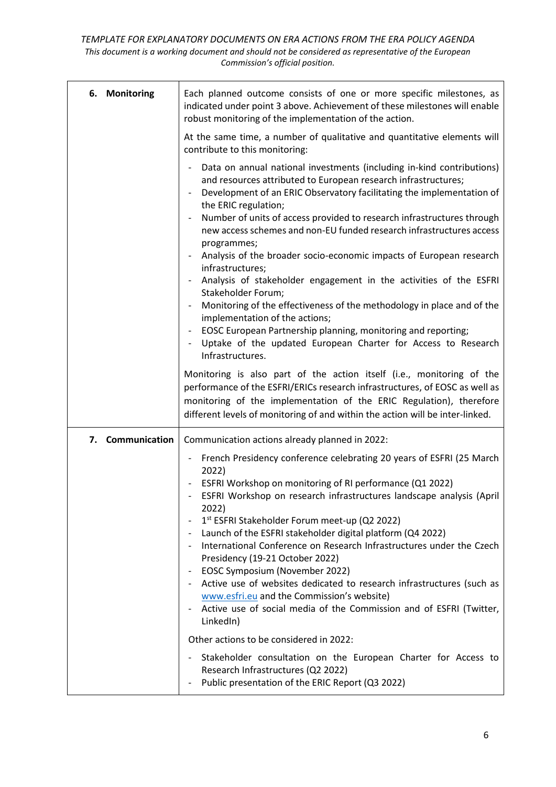| 6. Monitoring    | Each planned outcome consists of one or more specific milestones, as<br>indicated under point 3 above. Achievement of these milestones will enable<br>robust monitoring of the implementation of the action.                                                                                                 |
|------------------|--------------------------------------------------------------------------------------------------------------------------------------------------------------------------------------------------------------------------------------------------------------------------------------------------------------|
|                  | At the same time, a number of qualitative and quantitative elements will<br>contribute to this monitoring:                                                                                                                                                                                                   |
|                  | Data on annual national investments (including in-kind contributions)<br>and resources attributed to European research infrastructures;<br>Development of an ERIC Observatory facilitating the implementation of<br>the ERIC regulation;                                                                     |
|                  | Number of units of access provided to research infrastructures through<br>new access schemes and non-EU funded research infrastructures access<br>programmes;                                                                                                                                                |
|                  | Analysis of the broader socio-economic impacts of European research<br>infrastructures;                                                                                                                                                                                                                      |
|                  | Analysis of stakeholder engagement in the activities of the ESFRI<br>Stakeholder Forum;                                                                                                                                                                                                                      |
|                  | Monitoring of the effectiveness of the methodology in place and of the<br>implementation of the actions;                                                                                                                                                                                                     |
|                  | EOSC European Partnership planning, monitoring and reporting;<br>Uptake of the updated European Charter for Access to Research<br>Infrastructures.                                                                                                                                                           |
|                  | Monitoring is also part of the action itself (i.e., monitoring of the<br>performance of the ESFRI/ERICs research infrastructures, of EOSC as well as<br>monitoring of the implementation of the ERIC Regulation), therefore<br>different levels of monitoring of and within the action will be inter-linked. |
| 7. Communication | Communication actions already planned in 2022:                                                                                                                                                                                                                                                               |
|                  | French Presidency conference celebrating 20 years of ESFRI (25 March<br>2022)                                                                                                                                                                                                                                |
|                  | ESFRI Workshop on monitoring of RI performance (Q1 2022)<br>ESFRI Workshop on research infrastructures landscape analysis (April                                                                                                                                                                             |
|                  | 2022)<br>1st ESFRI Stakeholder Forum meet-up (Q2 2022)                                                                                                                                                                                                                                                       |
|                  | Launch of the ESFRI stakeholder digital platform (Q4 2022)                                                                                                                                                                                                                                                   |
|                  | International Conference on Research Infrastructures under the Czech<br>Presidency (19-21 October 2022)                                                                                                                                                                                                      |
|                  | EOSC Symposium (November 2022)                                                                                                                                                                                                                                                                               |
|                  | Active use of websites dedicated to research infrastructures (such as<br>www.esfri.eu and the Commission's website)                                                                                                                                                                                          |
|                  | Active use of social media of the Commission and of ESFRI (Twitter,<br>LinkedIn)                                                                                                                                                                                                                             |
|                  | Other actions to be considered in 2022:                                                                                                                                                                                                                                                                      |
|                  | Stakeholder consultation on the European Charter for Access to<br>Research Infrastructures (Q2 2022)<br>Public presentation of the ERIC Report (Q3 2022)                                                                                                                                                     |